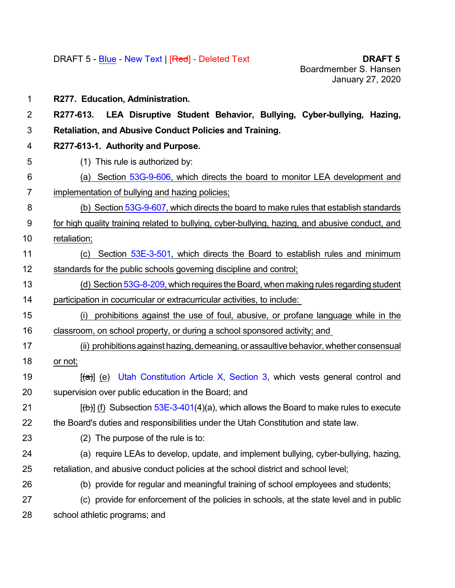**R277. Education, Administration. R277-613. LEA Disruptive Student Behavior, Bullying, Cyber-bullying, Hazing, Retaliation, and Abusive Conduct Policies and Training. R277-613-1. Authority and Purpose.** (1) This rule is authorized by: (a) Section [53G-9-606](https://le.utah.gov/xcode/Title53G/Chapter9/53G-9-S606.html?v=C53G-9-S606_2019051420190514), which directs the board to monitor LEA development and implementation of bullying and hazing policies; (b) Section [53G-9-607](https://le.utah.gov/xcode/Title53G/Chapter9/53G-9-S607.html?v=C53G-9-S607_2019051420190514), which directs the board to make rules that establish standards for high quality training related to bullying, cyber-bullying, hazing, and abusive conduct, and retaliation; 11 (c) Section [53E-3-501](https://le.utah.gov/xcode/Title53E/Chapter3/53E-3-S501.html?v=C53E-3-S501_2019051420190514), which directs the Board to establish rules and minimum standards for the public schools governing discipline and control; 13 (d) Section [53G-8-209](file:///|//53G-8-209%20), which requires the Board, when making rules regarding student participation in cocurricular or extracurricular activities, to include: (i) prohibitions against the use of foul, abusive, or profane language while in the classroom, on school property, or during a school sponsored activity; and 17 (ii) prohibitions against hazing, demeaning, or assaultive behavior, whether consensual or not;  $[(a)]$  (e) Utah [Constitution](https://le.utah.gov/xcode/ArticleX/Article_X,_Section_3.html#targetText=The%20general%20control%20and%20supervision,a%20State%20Board%20of%20Education.&targetText=The%20State%20Board%20of%20Education,executive%20officer%20of%20the%20board.) Article X, Section 3, which vests general control and supervision over public education in the Board; and  $[(b)]$  (f) Subsection [53E-3-401](https://le.utah.gov/xcode/Title53E/Chapter3/53E-3-S401.html?v=C53E-3-S401_2019051420190514)(4)(a), which allows the Board to make rules to execute the Board's duties and responsibilities under the Utah Constitution and state law. (2) The purpose of the rule is to: (a) require LEAs to develop, update, and implement bullying, cyber-bullying, hazing, retaliation, and abusive conduct policies at the school district and school level; (b) provide for regular and meaningful training of school employees and students; (c) provide for enforcement of the policies in schools, at the state level and in public school athletic programs; and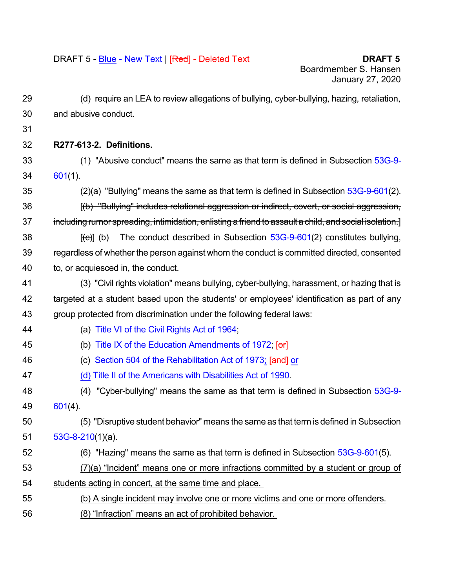- (d) require an LEA to review allegations of bullying, cyber-bullying, hazing, retaliation, and abusive conduct.
- 
- **R277-613-2. Definitions.**
- (1) "Abusive conduct" means the same as that term is defined in Subsection [53G-9-](https://le.utah.gov/xcode/Title53G/Chapter9/53G-9-S601.html?v=C53G-9-S601_2019051420190514) [601](https://le.utah.gov/xcode/Title53G/Chapter9/53G-9-S601.html?v=C53G-9-S601_2019051420190514)(1).
- (2)(a) "Bullying" means the same as that term is defined in Subsection [53G-9-601](https://le.utah.gov/xcode/Title53G/Chapter9/53G-9-S601.html?v=C53G-9-S601_2019051420190514)(2).
- **[(b) "Bullying" includes relational aggression or indirect, covert, or social aggression,** 37 including rumor spreading, intimidation, enlisting a friend to assault a child, and social isolation.]
- 38  $[(e)]$  (b) The conduct described in Subsection  $53G-9-601(2)$  $53G-9-601(2)$  constitutes bullying, regardless of whether the person against whom the conduct is committed directed, consented to, or acquiesced in, the conduct.
- (3) "Civil rights violation" means bullying, cyber-bullying, harassment, or hazing that is targeted at a student based upon the students' or employees' identification as part of any group protected from discrimination under the following federal laws:
- 
- (a) Title VI of the Civil [Rights](https://www.justice.gov/crt/fcs/TitleVI#targetText=Title%20VI%2C%2042%20U.S.C.,activities%20receiving%20federal%20financial%20assistance.&targetText=Title%20VI%20itself%20prohibits%20intentional%20discrimination.) Act of 1964;
- 45 (b) Title IX of the Education [Amendments](https://www.epa.gov/ocr/title-ix-education-amendments-act-1972#targetText=Title%20IX%20of%20the%20Education,activity%20receiving%20Federal%20financial%20assistance.) of 1972; [or]
- 46 (c) Section 504 of the [Rehabilitation](https://dredf.org/legal-advocacy/laws/section-504-of-the-rehabilitation-act-of-1973/#targetText=Section%20504%20of%20the%201973,the%20Americans%20with%20Disabilities%20Act.) Act of 1973; [and] or
- (d) Title II of the [Americans](https://www.ada.gov/ada_title_II.htm) with Disabilities Act of 1990.
- (4) "Cyber-bullying" means the same as that term is defined in Subsection [53G-9-](https://le.utah.gov/xcode/Title53G/Chapter9/53G-9-S601.html?v=C53G-9-S601_2019051420190514) [601](https://le.utah.gov/xcode/Title53G/Chapter9/53G-9-S601.html?v=C53G-9-S601_2019051420190514)(4).

 (5) "Disruptive student behavior" means the same as that term is defined inSubsection [53G-8-210](https://le.utah.gov/xcode/Title53G/Chapter8/53G-8-S210.html?v=C53G-8-S210_2019051420190514)(1)(a).

- (6) "Hazing" means the same as that term is defined in Subsection [53G-9-601\(](https://le.utah.gov/xcode/Title53G/Chapter9/53G-9-S601.html?v=C53G-9-S601_2019051420190514)5).
- (7)(a) "Incident" means one or more infractions committed by a student or group of students acting in concert, at the same time and place.
- (b) A single incident may involve one or more victims and one or more offenders.
- (8) "Infraction" means an act of prohibited behavior.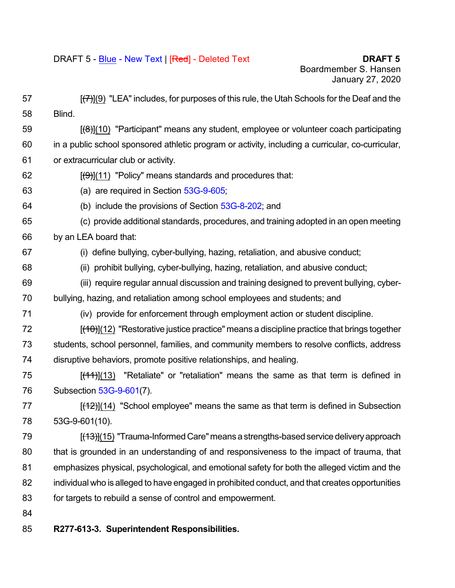| 57 | $[\mathcal{F}](9)$ "LEA" includes, for purposes of this rule, the Utah Schools for the Deaf and the |
|----|-----------------------------------------------------------------------------------------------------|
| 58 | Blind.                                                                                              |
| 59 | $[(6)](10)$ "Participant" means any student, employee or volunteer coach participating              |
| 60 | in a public school sponsored athletic program or activity, including a curricular, co-curricular,   |
| 61 | or extracurricular club or activity.                                                                |
| 62 | $[\left(\frac{\Theta}{\Theta}\right)](11)$ "Policy" means standards and procedures that:            |
| 63 | (a) are required in Section 53G-9-605;                                                              |
| 64 | (b) include the provisions of Section 53G-8-202; and                                                |
| 65 | (c) provide additional standards, procedures, and training adopted in an open meeting               |
| 66 | by an LEA board that:                                                                               |
| 67 | (i) define bullying, cyber-bullying, hazing, retaliation, and abusive conduct;                      |
| 68 | (ii) prohibit bullying, cyber-bullying, hazing, retaliation, and abusive conduct;                   |
| 69 | (iii) require regular annual discussion and training designed to prevent bullying, cyber-           |
| 70 | bullying, hazing, and retaliation among school employees and students; and                          |
| 71 | (iv) provide for enforcement through employment action or student discipline.                       |
| 72 | $[(10)(12)]$ "Restorative justice practice" means a discipline practice that brings together        |
| 73 | students, school personnel, families, and community members to resolve conflicts, address           |
| 74 | disruptive behaviors, promote positive relationships, and healing.                                  |
| 75 | $[$ (44)](13) "Retaliate" or "retaliation" means the same as that term is defined in                |
| 76 | Subsection 53G-9-601(7).                                                                            |
| 77 | $[$ (42)](14) "School employee" means the same as that term is defined in Subsection                |
| 78 | 53G-9-601(10).                                                                                      |
| 79 | [(13)](15) "Trauma-Informed Care" means a strengths-based service delivery approach                 |
| 80 | that is grounded in an understanding of and responsiveness to the impact of trauma, that            |
| 81 | emphasizes physical, psychological, and emotional safety for both the alleged victim and the        |
| 82 | individual who is alleged to have engaged in prohibited conduct, and that creates opportunities     |
| 83 | for targets to rebuild a sense of control and empowerment.                                          |
| 84 |                                                                                                     |
| 85 | R277-613-3. Superintendent Responsibilities.                                                        |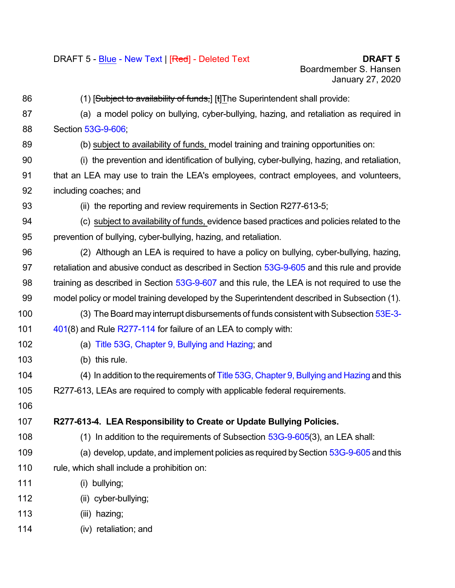86 (1) [Subject to availability of funds, [t] The Superintendent shall provide: (a) a model policy on bullying, cyber-bullying, hazing, and retaliation as required in Section [53G-9-606;](https://le.utah.gov/xcode/Title53G/Chapter9/53G-9-S606.html?v=C53G-9-S606_2019051420190514) (b) subject to availability of funds, model training and training opportunities on: (i) the prevention and identification of bullying, cyber-bullying, hazing, and retaliation, that an LEA may use to train the LEA's employees, contract employees, and volunteers, including coaches; and 93 (ii) the reporting and review requirements in Section R277-613-5; (c) subject to availability of funds, evidence based practices and policies related to the prevention of bullying, cyber-bullying, hazing, and retaliation. (2) Although an LEA is required to have a policy on bullying, cyber-bullying, hazing, 97 retaliation and abusive conduct as described in Section [53G-9-605](https://le.utah.gov/xcode/Title53G/Chapter9/53G-9-S605.html) and this rule and provide 98 training as described in Section [53G-9-607](https://le.utah.gov/xcode/Title53G/Chapter9/53G-9-S607.html) and this rule, the LEA is not required to use the model policy or model training developed by the Superintendent described in Subsection (1). (3) The Board may interrupt disbursements of funds consistent with Subsection [53E-3-](https://le.utah.gov/xcode/Title53E/Chapter3/53E-3-S401.html?v=C53E-3-S401_2019051420190514) [401](https://le.utah.gov/xcode/Title53E/Chapter3/53E-3-S401.html?v=C53E-3-S401_2019051420190514)(8) and Rule [R277-114](https://schools.utah.gov/file/1d0b2bac-8cb1-4e5a-b92d-8b1a4440c04a) for failure of an LEA to comply with: (a) Title 53G, [Chapter](https://le.utah.gov/xcode/Title53G/Chapter9/53G-9-P6.html?v=C53G-9-P6_2018012420180124) 9, Bullying and Hazing; and (b) this rule. 104 (4) In addition to the requirements of Title 53G, [Chapter](https://le.utah.gov/xcode/Title53G/Chapter9/53G-9-P6.html?v=C53G-9-P6_2018012420180124) 9, Bullying and Hazing and this R277-613, LEAs are required to comply with applicable federal requirements. **R277-613-4. LEA Responsibility to Create or Update Bullying Policies.** (1) In addition to the requirements of Subsection [53G-9-605](https://le.utah.gov/xcode/Title53G/Chapter9/53G-9-S605.html?v=C53G-9-S605_2019051420190514)(3), an LEA shall: (a) develop, update, and implement policies as required bySection [53G-9-605](https://le.utah.gov/xcode/Title53G/Chapter9/53G-9-S605.html?v=C53G-9-S605_2019051420190514) and this rule, which shall include a prohibition on: (i) bullying; (ii) cyber-bullying; (iii) hazing; (iv) retaliation; and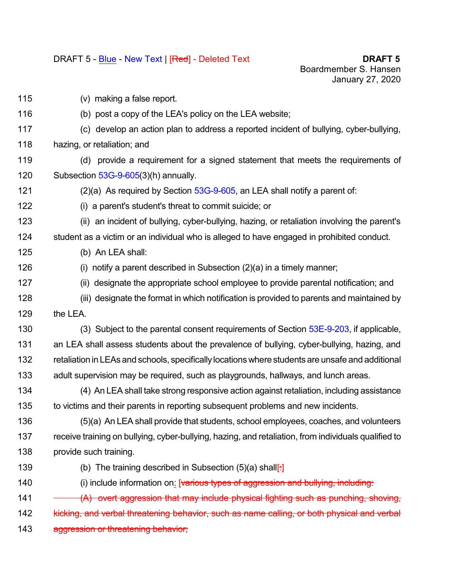(v) making a false report. (b) post a copy of the LEA's policy on the LEA website; (c) develop an action plan to address a reported incident of bullying, cyber-bullying, hazing, or retaliation; and (d) provide a requirement for a signed statement that meets the requirements of Subsection [53G-9-605](https://le.utah.gov/xcode/Title53G/Chapter9/53G-9-S605.html?v=C53G-9-S605_2019051420190514)(3)(h) annually. 121 (2)(a) As required by Section  $53G-9-605$ , an LEA shall notify a parent of: (i) a parent's student's threat to commit suicide; or (ii) an incident of bullying, cyber-bullying, hazing, or retaliation involving the parent's student as a victim or an individual who is alleged to have engaged in prohibited conduct. (b) An LEA shall: (i) notify a parent described in Subsection (2)(a) in a timely manner; (ii) designate the appropriate school employee to provide parental notification; and (iii) designate the format in which notification is provided to parents and maintained by the LEA. 130 (3) Subject to the parental consent requirements of Section [53E-9-203,](https://le.utah.gov/xcode/Title53E/Chapter9/53E-9-S203.html?v=C53E-9-S203_2019051420190514) if applicable, 131 an LEA shall assess students about the prevalence of bullying, cyber-bullying, hazing, and retaliation in LEAs and schools, specifically locationswhere students are unsafe and additional adult supervision may be required, such as playgrounds, hallways, and lunch areas. (4) An LEA shall take strong responsive action against retaliation, including assistance to victims and their parents in reporting subsequent problems and new incidents. (5)(a) An LEA shall provide that students, school employees, coaches, and volunteers receive training on bullying, cyber-bullying, hazing, and retaliation, from individuals qualified to provide such training. 139 (b) The training described in Subsection  $(5)(a)$  shall[ $\cdot$ ] 140 (i) include information on: [various types of aggression and bullying, including: 141 (A) overt aggression that may include physical fighting such as punching, shoving, 142 kicking, and verbal threatening behavior, such as name calling, or both physical and verbal 143 aggression or threatening behavior;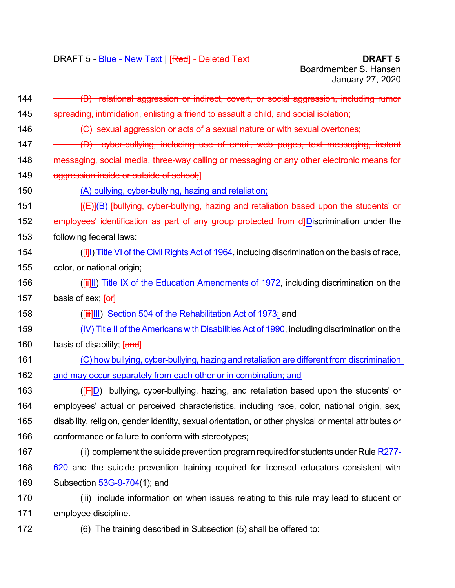| 144 | (B) relational aggression or indirect, covert, or social aggression, including rumor                 |
|-----|------------------------------------------------------------------------------------------------------|
| 145 | spreading, intimidation, enlisting a friend to assault a child, and social isolation;                |
| 146 | (C) sexual aggression or acts of a sexual nature or with sexual overtones;                           |
| 147 | (D) cyber-bullying, including use of email, web pages, text messaging, instant                       |
| 148 | messaging, social media, three-way calling or messaging or any other electronic means for            |
| 149 | aggression inside or outside of school;                                                              |
| 150 | (A) bullying, cyber-bullying, hazing and retaliation;                                                |
| 151 | [(E)](B) [bullying, cyber-bullying, hazing and retaliation based upon the students' or               |
| 152 | employees' identification as part of any group protected from d]Discrimination under the             |
| 153 | following federal laws:                                                                              |
| 154 | (Fil) Title VI of the Civil Rights Act of 1964, including discrimination on the basis of race,       |
| 155 | color, or national origin;                                                                           |
| 156 | ([ii]]]) Title IX of the Education Amendments of 1972, including discrimination on the               |
| 157 | basis of sex; [or]                                                                                   |
| 158 | ([iii]III) Section 504 of the Rehabilitation Act of 1973; and                                        |
| 159 | (IV) Title II of the Americans with Disabilities Act of 1990, including discrimination on the        |
| 160 | basis of disability; [and]                                                                           |
| 161 | (C) how bullying, cyber-bullying, hazing and retaliation are different from discrimination           |
| 162 | and may occur separately from each other or in combination; and                                      |
| 163 | bullying, cyber-bullying, hazing, and retaliation based upon the students' or<br>(F D)               |
| 164 | employees' actual or perceived characteristics, including race, color, national origin, sex,         |
| 165 | disability, religion, gender identity, sexual orientation, or other physical or mental attributes or |
| 166 | conformance or failure to conform with stereotypes;                                                  |
| 167 | (ii) complement the suicide prevention program required for students under Rule R277-                |
| 168 | 620 and the suicide prevention training required for licensed educators consistent with              |
| 169 | Subsection 53G-9-704(1); and                                                                         |
| 170 | (iii) include information on when issues relating to this rule may lead to student or                |
| 171 | employee discipline.                                                                                 |
| 172 | (6) The training described in Subsection (5) shall be offered to:                                    |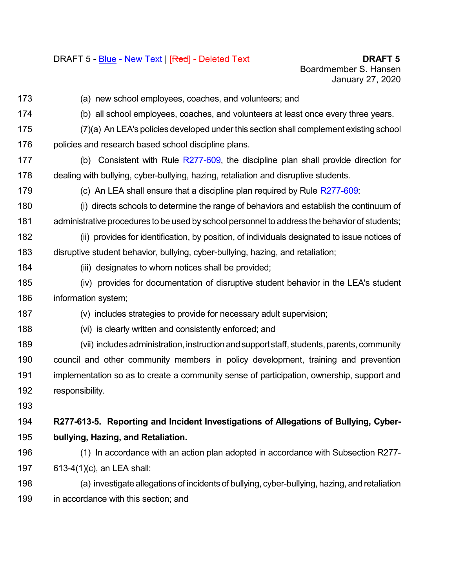(a) new school employees, coaches, and volunteers; and (b) all school employees, coaches, and volunteers at least once every three years. (7)(a) An LEA's policies developed underthis section shall complement existing school 176 policies and research based school discipline plans. (b) Consistent with Rule [R277-609](https://schools.utah.gov/file/ba6f05f1-2aa3-4fac-b8d3-b3fd3e8c1e2e), the discipline plan shall provide direction for dealing with bullying, cyber-bullying, hazing, retaliation and disruptive students. (c) An LEA shall ensure that a discipline plan required by Rule [R277-609:](https://schools.utah.gov/file/ba6f05f1-2aa3-4fac-b8d3-b3fd3e8c1e2e) (i) directs schools to determine the range of behaviors and establish the continuum of administrative procedures to be used by school personnel to address the behavior of students; (ii) provides for identification, by position, of individuals designated to issue notices of disruptive student behavior, bullying, cyber-bullying, hazing, and retaliation; (iii) designates to whom notices shall be provided; (iv) provides for documentation of disruptive student behavior in the LEA's student information system; (v) includes strategies to provide for necessary adult supervision; (vi) is clearly written and consistently enforced; and (vii) includesadministration, instructionandsupport staff, students, parents, community council and other community members in policy development, training and prevention implementation so as to create a community sense of participation, ownership, support and responsibility. **R277-613-5. Reporting and Incident Investigations of Allegations of Bullying, Cyber- bullying, Hazing, and Retaliation.** (1) In accordance with an action plan adopted in accordance with Subsection R277- 613-4(1)(c), an LEA shall: (a) investigate allegations of incidents of bullying, cyber-bullying, hazing, and retaliation in accordance with this section; and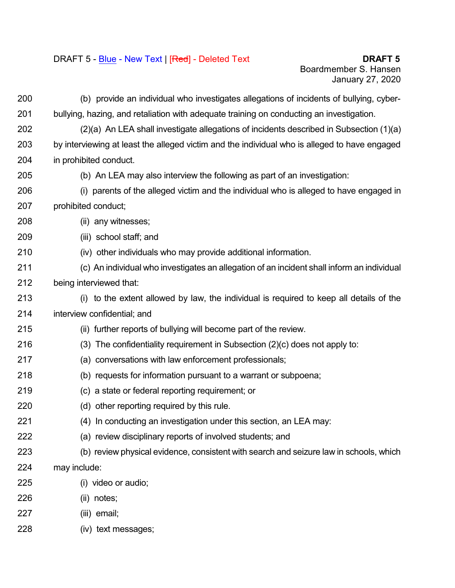## DRAFT 5 - Blue - New Text | [Red] - Deleted Text **DRAFT 5**

 (b) provide an individual who investigates allegations of incidents of bullying, cyber- bullying, hazing, and retaliation with adequate training on conducting an investigation. (2)(a) An LEA shall investigate allegations of incidents described in Subsection (1)(a) by interviewing at least the alleged victim and the individual who is alleged to have engaged in prohibited conduct. (b) An LEA may also interview the following as part of an investigation: (i) parents of the alleged victim and the individual who is alleged to have engaged in prohibited conduct; (ii) any witnesses; (iii) school staff; and (iv) other individuals who may provide additional information. (c) An individual who investigates an allegation of an incident shall inform an individual being interviewed that: (i) to the extent allowed by law, the individual is required to keep all details of the interview confidential; and (ii) further reports of bullying will become part of the review. (3) The confidentiality requirement in Subsection (2)(c) does not apply to: (a) conversations with law enforcement professionals; (b) requests for information pursuant to a warrant or subpoena; (c) a state or federal reporting requirement; or (d) other reporting required by this rule. (4) In conducting an investigation under this section, an LEA may: (a) review disciplinary reports of involved students; and (b) review physical evidence, consistent with search and seizure law in schools, which may include: (i) video or audio; (ii) notes; (iii) email; (iv) text messages;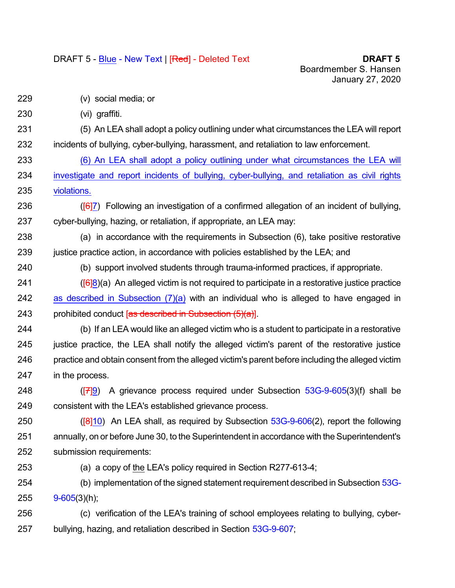## DRAFT 5 - Blue - New Text | [Red] - Deleted Text **DRAFT 5**

- (v) social media; or
- (vi) graffiti.
- (5) An LEA shall adopt a policy outlining under what circumstances the LEA will report incidents of bullying, cyber-bullying, harassment, and retaliation to law enforcement.
- (6) An LEA shall adopt a policy outlining under what circumstances the LEA will investigate and report incidents of bullying, cyber-bullying, and retaliation as civil rights violations.
- 236  $(67)$  Following an investigation of a confirmed allegation of an incident of bullying, cyber-bullying, hazing, or retaliation, if appropriate, an LEA may:
- (a) in accordance with the requirements in Subsection (6), take positive restorative 239 justice practice action, in accordance with policies established by the LEA; and
- (b) support involved students through trauma-informed practices, if appropriate.
- $(6|8)(a)$  An alleged victim is not required to participate in a restorative justice practice 242 as described in Subsection  $(7)(a)$  with an individual who is alleged to have engaged in 243 prohibited conduct  $[$ as described in Subsection  $(5)(a)$ ].
- (b) If an LEA would like an alleged victim who is a student to participate in a restorative justice practice, the LEA shall notify the alleged victim's parent of the restorative justice practice and obtain consent from the alleged victim's parent before including the alleged victim in the process.
- 248  $(779)$  A grievance process required under Subsection  $53G-9-605(3)(f)$  $53G-9-605(3)(f)$  shall be consistent with the LEA's established grievance process.
- 250  $(18110)$  An LEA shall, as required by Subsection  $53G-9-606(2)$  $53G-9-606(2)$ , report the following 251 annually, on or before June 30, to the Superintendent in accordance with the Superintendent's submission requirements:
- (a) a copy of the LEA's policy required in Section R277-613-4;
- (b) implementation of the signed statement requirement described in Subsection [53G-](https://le.utah.gov/xcode/Title53G/Chapter9/53G-9-S605.html)[9-605](https://le.utah.gov/xcode/Title53G/Chapter9/53G-9-S605.html)(3)(h);
- (c) verification of the LEA's training of school employees relating to bullying, cyber-bullying, hazing, and retaliation described in Section [53G-9-607](https://le.utah.gov/xcode/Title53G/Chapter9/53G-9-S607.html);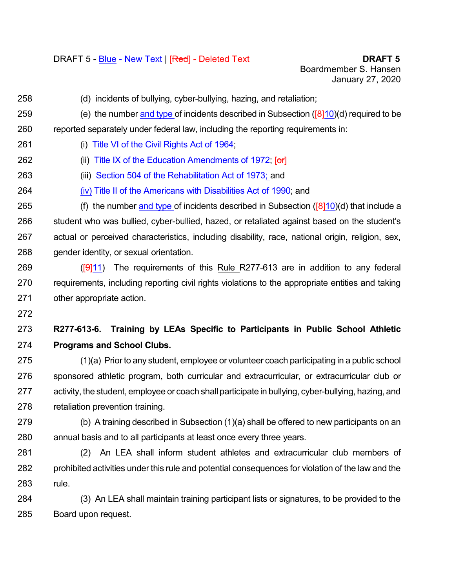- (d) incidents of bullying, cyber-bullying, hazing, and retaliation;
- 259 (e) the number and type of incidents described in Subsection  $(\sqrt{8}\vert 10)(d)$  required to be reported separately under federal law, including the reporting requirements in:
- (i) Title VI of the Civil [Rights](https://www.justice.gov/crt/fcs/TitleVI#targetText=Title%20VI%2C%2042%20U.S.C.,activities%20receiving%20federal%20financial%20assistance.&targetText=Title%20VI%20itself%20prohibits%20intentional%20discrimination.) Act of 1964;
- **(ii) Title IX of the Education [Amendments](https://www.epa.gov/ocr/title-ix-education-amendments-act-1972#targetText=Title%20IX%20of%20the%20Education,activity%20receiving%20Federal%20financial%20assistance.) of 1972; [or]**
- (iii) Section 504 of the [Rehabilitation](https://dredf.org/legal-advocacy/laws/section-504-of-the-rehabilitation-act-of-1973/#targetText=Section%20504%20of%20the%201973,the%20Americans%20with%20Disabilities%20Act.) Act of 1973; and
- (iv) Title II of the [Americans](https://www.ada.gov/ada_title_II.htm) with Disabilities Act of 1990; and
- 265 (f) the number and type of incidents described in Subsection ( $[8]10$ )(d) that include a student who was bullied, cyber-bullied, hazed, or retaliated against based on the student's actual or perceived characteristics, including disability, race, national origin, religion, sex, gender identity, or sexual orientation.
- 269  $(911)$  The requirements of this Rule R277-613 are in addition to any federal requirements, including reporting civil rights violations to the appropriate entities and taking other appropriate action.
- 

## **R277-613-6. Training by LEAs Specific to Participants in Public School Athletic Programs and School Clubs.**

 (1)(a) Prior to any student, employee or volunteer coach participating in a public school sponsored athletic program, both curricular and extracurricular, or extracurricular club or activity, the student, employee or coach shall participate in bullying, cyber-bullying, hazing, and retaliation prevention training.

- (b) A training described in Subsection (1)(a) shall be offered to new participants on an annual basis and to all participants at least once every three years.
- (2) An LEA shall inform student athletes and extracurricular club members of prohibited activities under this rule and potential consequences for violation of the law and the rule.
- (3) An LEA shall maintain training participant lists or signatures, to be provided to the Board upon request.